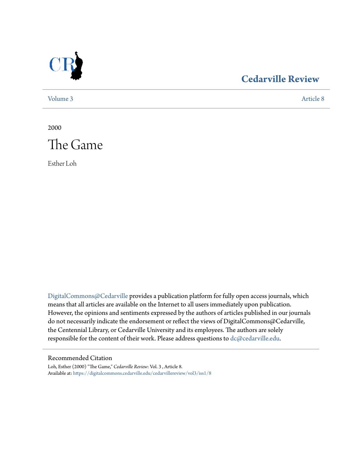

## **[Cedarville Review](https://digitalcommons.cedarville.edu/cedarvillereview?utm_source=digitalcommons.cedarville.edu%2Fcedarvillereview%2Fvol3%2Fiss1%2F8&utm_medium=PDF&utm_campaign=PDFCoverPages)**

[Volume 3](https://digitalcommons.cedarville.edu/cedarvillereview/vol3?utm_source=digitalcommons.cedarville.edu%2Fcedarvillereview%2Fvol3%2Fiss1%2F8&utm_medium=PDF&utm_campaign=PDFCoverPages) [Article 8](https://digitalcommons.cedarville.edu/cedarvillereview/vol3/iss1/8?utm_source=digitalcommons.cedarville.edu%2Fcedarvillereview%2Fvol3%2Fiss1%2F8&utm_medium=PDF&utm_campaign=PDFCoverPages)

2000



Esther Loh

[DigitalCommons@Cedarville](http://digitalcommons.cedarville.edu) provides a publication platform for fully open access journals, which means that all articles are available on the Internet to all users immediately upon publication. However, the opinions and sentiments expressed by the authors of articles published in our journals do not necessarily indicate the endorsement or reflect the views of DigitalCommons@Cedarville, the Centennial Library, or Cedarville University and its employees. The authors are solely responsible for the content of their work. Please address questions to [dc@cedarville.edu](mailto:dc@cedarville.edu).

#### Recommended Citation

Loh, Esther (2000) "The Game," *Cedarville Review*: Vol. 3 , Article 8. Available at: [https://digitalcommons.cedarville.edu/cedarvillereview/vol3/iss1/8](https://digitalcommons.cedarville.edu/cedarvillereview/vol3/iss1/8?utm_source=digitalcommons.cedarville.edu%2Fcedarvillereview%2Fvol3%2Fiss1%2F8&utm_medium=PDF&utm_campaign=PDFCoverPages)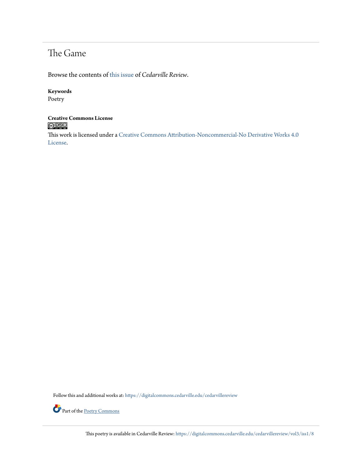## The Game

Browse the contents of [this issue](https://digitalcommons.cedarville.edu/cedarvillereview/vol3/iss1) of *Cedarville Review*.

#### **Keywords**

Poetry

# **Creative Commons License**

This work is licensed under a [Creative Commons Attribution-Noncommercial-No Derivative Works 4.0](http://creativecommons.org/licenses/by-nc-nd/4.0/) [License.](http://creativecommons.org/licenses/by-nc-nd/4.0/)

Follow this and additional works at: [https://digitalcommons.cedarville.edu/cedarvillereview](https://digitalcommons.cedarville.edu/cedarvillereview?utm_source=digitalcommons.cedarville.edu%2Fcedarvillereview%2Fvol3%2Fiss1%2F8&utm_medium=PDF&utm_campaign=PDFCoverPages)



Part of the <u>[Poetry Commons](http://network.bepress.com/hgg/discipline/1153?utm_source=digitalcommons.cedarville.edu%2Fcedarvillereview%2Fvol3%2Fiss1%2F8&utm_medium=PDF&utm_campaign=PDFCoverPages)</u>

This poetry is available in Cedarville Review: [https://digitalcommons.cedarville.edu/cedarvillereview/vol3/iss1/8](https://digitalcommons.cedarville.edu/cedarvillereview/vol3/iss1/8?utm_source=digitalcommons.cedarville.edu%2Fcedarvillereview%2Fvol3%2Fiss1%2F8&utm_medium=PDF&utm_campaign=PDFCoverPages)